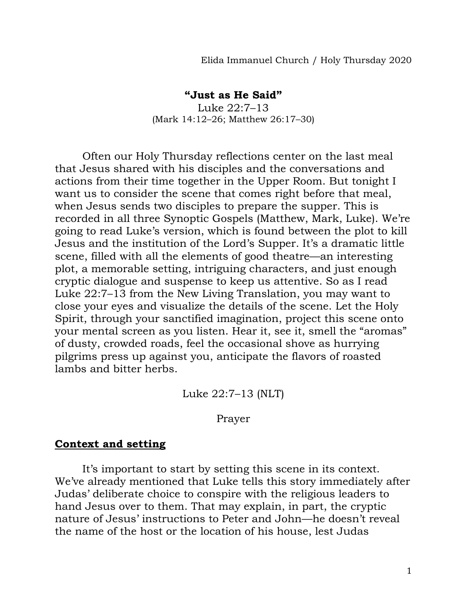Elida Immanuel Church / Holy Thursday 2020

## **"Just as He Said"**

Luke 22:7–13 (Mark 14:12–26; Matthew 26:17–30)

Often our Holy Thursday reflections center on the last meal that Jesus shared with his disciples and the conversations and actions from their time together in the Upper Room. But tonight I want us to consider the scene that comes right before that meal, when Jesus sends two disciples to prepare the supper. This is recorded in all three Synoptic Gospels (Matthew, Mark, Luke). We're going to read Luke's version, which is found between the plot to kill Jesus and the institution of the Lord's Supper. It's a dramatic little scene, filled with all the elements of good theatre—an interesting plot, a memorable setting, intriguing characters, and just enough cryptic dialogue and suspense to keep us attentive. So as I read Luke 22:7–13 from the New Living Translation, you may want to close your eyes and visualize the details of the scene. Let the Holy Spirit, through your sanctified imagination, project this scene onto your mental screen as you listen. Hear it, see it, smell the "aromas" of dusty, crowded roads, feel the occasional shove as hurrying pilgrims press up against you, anticipate the flavors of roasted lambs and bitter herbs.

Luke 22:7–13 (NLT)

## Prayer

## **Context and setting**

It's important to start by setting this scene in its context. We've already mentioned that Luke tells this story immediately after Judas' deliberate choice to conspire with the religious leaders to hand Jesus over to them. That may explain, in part, the cryptic nature of Jesus' instructions to Peter and John—he doesn't reveal the name of the host or the location of his house, lest Judas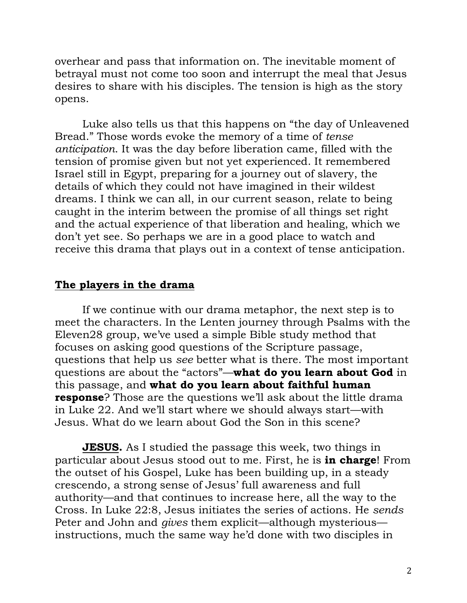overhear and pass that information on. The inevitable moment of betrayal must not come too soon and interrupt the meal that Jesus desires to share with his disciples. The tension is high as the story opens.

Luke also tells us that this happens on "the day of Unleavened Bread." Those words evoke the memory of a time of *tense anticipation*. It was the day before liberation came, filled with the tension of promise given but not yet experienced. It remembered Israel still in Egypt, preparing for a journey out of slavery, the details of which they could not have imagined in their wildest dreams. I think we can all, in our current season, relate to being caught in the interim between the promise of all things set right and the actual experience of that liberation and healing, which we don't yet see. So perhaps we are in a good place to watch and receive this drama that plays out in a context of tense anticipation.

## **The players in the drama**

If we continue with our drama metaphor, the next step is to meet the characters. In the Lenten journey through Psalms with the Eleven28 group, we've used a simple Bible study method that focuses on asking good questions of the Scripture passage, questions that help us *see* better what is there. The most important questions are about the "actors"—**what do you learn about God** in this passage, and **what do you learn about faithful human response**? Those are the questions we'll ask about the little drama in Luke 22. And we'll start where we should always start—with Jesus. What do we learn about God the Son in this scene?

**JESUS.** As I studied the passage this week, two things in particular about Jesus stood out to me. First, he is **in charge**! From the outset of his Gospel, Luke has been building up, in a steady crescendo, a strong sense of Jesus' full awareness and full authority—and that continues to increase here, all the way to the Cross. In Luke 22:8, Jesus initiates the series of actions. He *sends* Peter and John and *gives* them explicit—although mysterious instructions, much the same way he'd done with two disciples in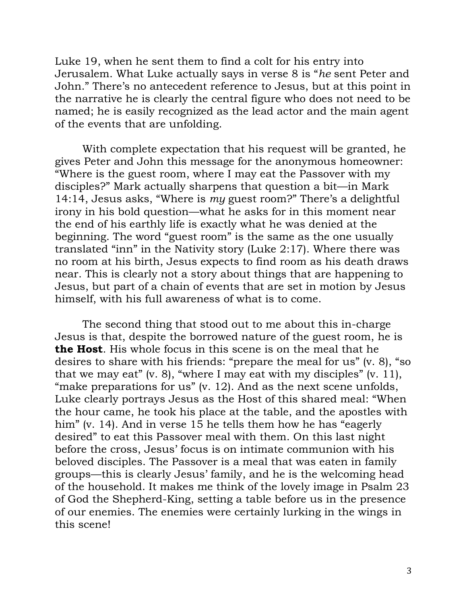Luke 19, when he sent them to find a colt for his entry into Jerusalem. What Luke actually says in verse 8 is "*he* sent Peter and John." There's no antecedent reference to Jesus, but at this point in the narrative he is clearly the central figure who does not need to be named; he is easily recognized as the lead actor and the main agent of the events that are unfolding.

With complete expectation that his request will be granted, he gives Peter and John this message for the anonymous homeowner: "Where is the guest room, where I may eat the Passover with my disciples?" Mark actually sharpens that question a bit—in Mark 14:14, Jesus asks, "Where is *my* guest room?" There's a delightful irony in his bold question—what he asks for in this moment near the end of his earthly life is exactly what he was denied at the beginning. The word "guest room" is the same as the one usually translated "inn" in the Nativity story (Luke 2:17). Where there was no room at his birth, Jesus expects to find room as his death draws near. This is clearly not a story about things that are happening to Jesus, but part of a chain of events that are set in motion by Jesus himself, with his full awareness of what is to come.

The second thing that stood out to me about this in-charge Jesus is that, despite the borrowed nature of the guest room, he is **the Host**. His whole focus in this scene is on the meal that he desires to share with his friends: "prepare the meal for us" (v. 8), "so that we may eat" (v. 8), "where I may eat with my disciples" (v. 11), "make preparations for us" (v. 12). And as the next scene unfolds, Luke clearly portrays Jesus as the Host of this shared meal: "When the hour came, he took his place at the table, and the apostles with him" (v. 14). And in verse 15 he tells them how he has "eagerly desired" to eat this Passover meal with them. On this last night before the cross, Jesus' focus is on intimate communion with his beloved disciples. The Passover is a meal that was eaten in family groups—this is clearly Jesus' family, and he is the welcoming head of the household. It makes me think of the lovely image in Psalm 23 of God the Shepherd-King, setting a table before us in the presence of our enemies. The enemies were certainly lurking in the wings in this scene!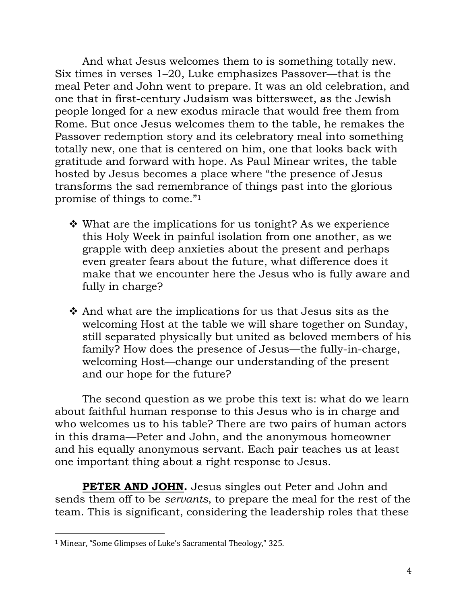And what Jesus welcomes them to is something totally new. Six times in verses 1–20, Luke emphasizes Passover—that is the meal Peter and John went to prepare. It was an old celebration, and one that in first-century Judaism was bittersweet, as the Jewish people longed for a new exodus miracle that would free them from Rome. But once Jesus welcomes them to the table, he remakes the Passover redemption story and its celebratory meal into something totally new, one that is centered on him, one that looks back with gratitude and forward with hope. As Paul Minear writes, the table hosted by Jesus becomes a place where "the presence of Jesus transforms the sad remembrance of things past into the glorious promise of things to come."<sup>1</sup>

- What are the implications for us tonight? As we experience this Holy Week in painful isolation from one another, as we grapple with deep anxieties about the present and perhaps even greater fears about the future, what difference does it make that we encounter here the Jesus who is fully aware and fully in charge?
- And what are the implications for us that Jesus sits as the welcoming Host at the table we will share together on Sunday, still separated physically but united as beloved members of his family? How does the presence of Jesus—the fully-in-charge, welcoming Host—change our understanding of the present and our hope for the future?

The second question as we probe this text is: what do we learn about faithful human response to this Jesus who is in charge and who welcomes us to his table? There are two pairs of human actors in this drama—Peter and John, and the anonymous homeowner and his equally anonymous servant. Each pair teaches us at least one important thing about a right response to Jesus.

**PETER AND JOHN.** Jesus singles out Peter and John and sends them off to be *servants*, to prepare the meal for the rest of the team. This is significant, considering the leadership roles that these

l

<sup>1</sup> Minear, "Some Glimpses of Luke's Sacramental Theology," 325.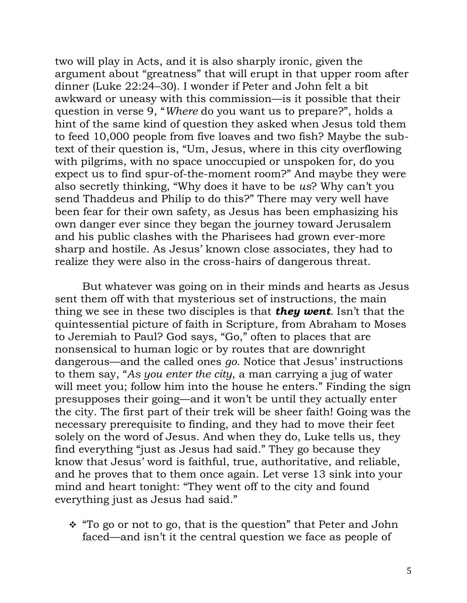two will play in Acts, and it is also sharply ironic, given the argument about "greatness" that will erupt in that upper room after dinner (Luke 22:24–30). I wonder if Peter and John felt a bit awkward or uneasy with this commission—is it possible that their question in verse 9, "*Where* do you want us to prepare?", holds a hint of the same kind of question they asked when Jesus told them to feed 10,000 people from five loaves and two fish? Maybe the subtext of their question is, "Um, Jesus, where in this city overflowing with pilgrims, with no space unoccupied or unspoken for, do you expect us to find spur-of-the-moment room?" And maybe they were also secretly thinking, "Why does it have to be *us*? Why can't you send Thaddeus and Philip to do this?" There may very well have been fear for their own safety, as Jesus has been emphasizing his own danger ever since they began the journey toward Jerusalem and his public clashes with the Pharisees had grown ever-more sharp and hostile. As Jesus' known close associates, they had to realize they were also in the cross-hairs of dangerous threat.

But whatever was going on in their minds and hearts as Jesus sent them off with that mysterious set of instructions, the main thing we see in these two disciples is that *they went*. Isn't that the quintessential picture of faith in Scripture, from Abraham to Moses to Jeremiah to Paul? God says, "Go," often to places that are nonsensical to human logic or by routes that are downright dangerous—and the called ones *go*. Notice that Jesus' instructions to them say, "*As you enter the city*, a man carrying a jug of water will meet you; follow him into the house he enters." Finding the sign presupposes their going—and it won't be until they actually enter the city. The first part of their trek will be sheer faith! Going was the necessary prerequisite to finding, and they had to move their feet solely on the word of Jesus. And when they do, Luke tells us, they find everything "just as Jesus had said." They go because they know that Jesus' word is faithful, true, authoritative, and reliable, and he proves that to them once again. Let verse 13 sink into your mind and heart tonight: "They went off to the city and found everything just as Jesus had said."

\* "To go or not to go, that is the question" that Peter and John faced—and isn't it the central question we face as people of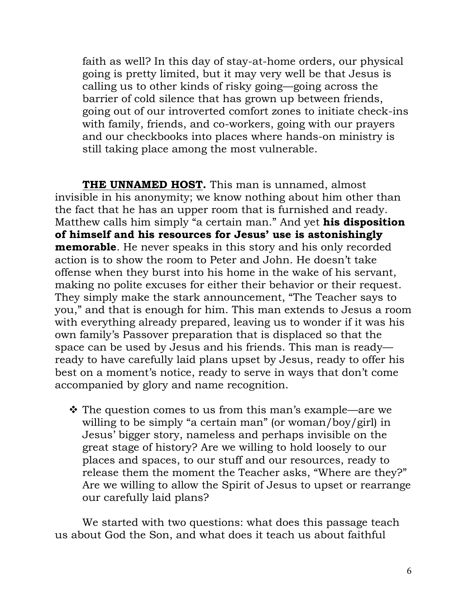faith as well? In this day of stay-at-home orders, our physical going is pretty limited, but it may very well be that Jesus is calling us to other kinds of risky going—going across the barrier of cold silence that has grown up between friends, going out of our introverted comfort zones to initiate check-ins with family, friends, and co-workers, going with our prayers and our checkbooks into places where hands-on ministry is still taking place among the most vulnerable.

**THE UNNAMED HOST.** This man is unnamed, almost invisible in his anonymity; we know nothing about him other than the fact that he has an upper room that is furnished and ready. Matthew calls him simply "a certain man." And yet **his disposition of himself and his resources for Jesus' use is astonishingly memorable**. He never speaks in this story and his only recorded action is to show the room to Peter and John. He doesn't take offense when they burst into his home in the wake of his servant, making no polite excuses for either their behavior or their request. They simply make the stark announcement, "The Teacher says to you," and that is enough for him. This man extends to Jesus a room with everything already prepared, leaving us to wonder if it was his own family's Passover preparation that is displaced so that the space can be used by Jesus and his friends. This man is ready ready to have carefully laid plans upset by Jesus, ready to offer his best on a moment's notice, ready to serve in ways that don't come accompanied by glory and name recognition.

 The question comes to us from this man's example—are we willing to be simply "a certain man" (or woman/boy/girl) in Jesus' bigger story, nameless and perhaps invisible on the great stage of history? Are we willing to hold loosely to our places and spaces, to our stuff and our resources, ready to release them the moment the Teacher asks, "Where are they?" Are we willing to allow the Spirit of Jesus to upset or rearrange our carefully laid plans?

We started with two questions: what does this passage teach us about God the Son, and what does it teach us about faithful